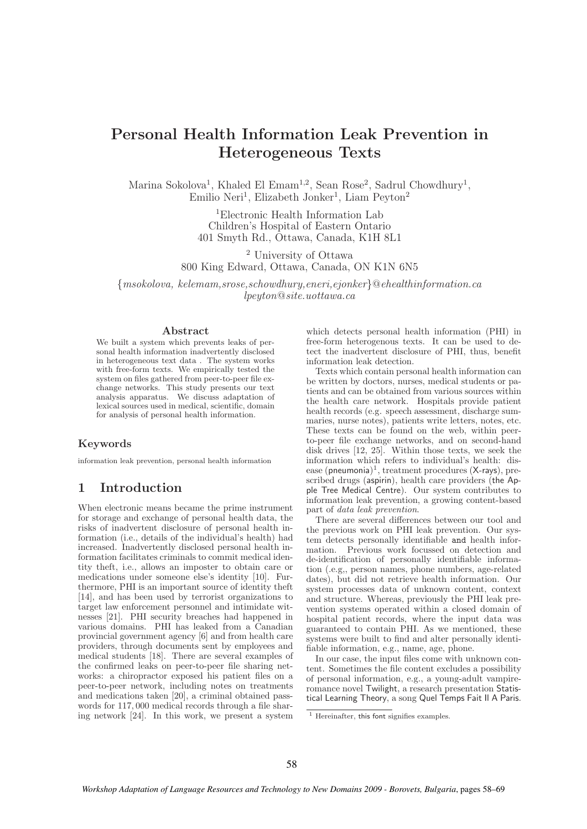# Personal Health Information Leak Prevention in Heterogeneous Texts

Marina Sokolova<sup>1</sup>, Khaled El Emam<sup>1,2</sup>, Sean Rose<sup>2</sup>, Sadrul Chowdhury<sup>1</sup>, Emilio Neri<sup>1</sup>, Elizabeth Jonker<sup>1</sup>, Liam Peyton<sup>2</sup>

> <sup>1</sup>Electronic Health Information Lab Children's Hospital of Eastern Ontario 401 Smyth Rd., Ottawa, Canada, K1H 8L1

<sup>2</sup> University of Ottawa 800 King Edward, Ottawa, Canada, ON K1N 6N5

{msokolova, kelemam,srose,schowdhury,eneri,ejonker}@ehealthinformation.ca lpeyton@site.uottawa.ca

#### Abstract

We built a system which prevents leaks of personal health information inadvertently disclosed in heterogeneous text data . The system works with free-form texts. We empirically tested the system on files gathered from peer-to-peer file exchange networks. This study presents our text analysis apparatus. We discuss adaptation of lexical sources used in medical, scientific, domain for analysis of personal health information.

### Keywords

information leak prevention, personal health information

# 1 Introduction

When electronic means became the prime instrument for storage and exchange of personal health data, the risks of inadvertent disclosure of personal health information (i.e., details of the individual's health) had increased. Inadvertently disclosed personal health information facilitates criminals to commit medical identity theft, i.e., allows an imposter to obtain care or medications under someone else's identity [10]. Furthermore, PHI is an important source of identity theft [14], and has been used by terrorist organizations to target law enforcement personnel and intimidate witnesses [21]. PHI security breaches had happened in various domains. PHI has leaked from a Canadian provincial government agency [6] and from health care providers, through documents sent by employees and medical students [18]. There are several examples of the confirmed leaks on peer-to-peer file sharing networks: a chiropractor exposed his patient files on a peer-to-peer network, including notes on treatments and medications taken [20], a criminal obtained passwords for 117, 000 medical records through a file sharing network [24]. In this work, we present a system

which detects personal health information (PHI) in free-form heterogenous texts. It can be used to detect the inadvertent disclosure of PHI, thus, benefit information leak detection.

Texts which contain personal health information can be written by doctors, nurses, medical students or patients and can be obtained from various sources within the health care network. Hospitals provide patient health records (e.g. speech assessment, discharge summaries, nurse notes), patients write letters, notes, etc. These texts can be found on the web, within peerto-peer file exchange networks, and on second-hand disk drives [12, 25]. Within those texts, we seek the information which refers to individual's health: disease (pneumonia) 1 , treatment procedures (X-rays), prescribed drugs (aspirin), health care providers (the Apple Tree Medical Centre). Our system contributes to information leak prevention, a growing content-based part of data leak prevention.

There are several differences between our tool and the previous work on PHI leak prevention. Our system detects personally identifiable and health information. Previous work focussed on detection and de-identification of personally identifiable information (.e.g,, person names, phone numbers, age-related dates), but did not retrieve health information. Our system processes data of unknown content, context and structure. Whereas, previously the PHI leak prevention systems operated within a closed domain of hospital patient records, where the input data was guaranteed to contain PHI. As we mentioned, these systems were built to find and alter personally identifiable information, e.g., name, age, phone.

In our case, the input files come with unknown content. Sometimes the file content excludes a possibility of personal information, e.g., a young-adult vampireromance novel Twilight, a research presentation Statistical Learning Theory, a song Quel Temps Fait Il A Paris.

 $\frac{1}{1}$  Hereinafter, this font signifies examples.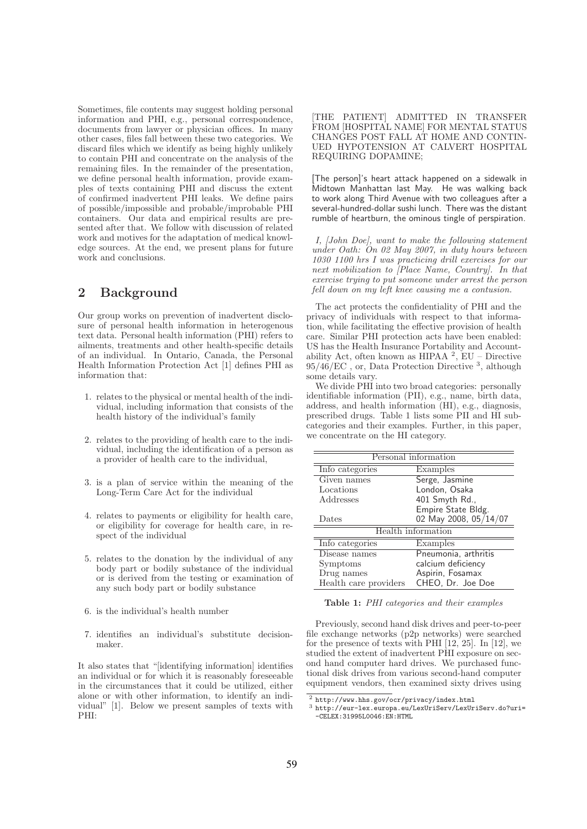Sometimes, file contents may suggest holding personal information and PHI, e.g., personal correspondence, documents from lawyer or physician offices. In many other cases, files fall between these two categories. We discard files which we identify as being highly unlikely to contain PHI and concentrate on the analysis of the remaining files. In the remainder of the presentation, we define personal health information, provide examples of texts containing PHI and discuss the extent of confirmed inadvertent PHI leaks. We define pairs of possible/impossible and probable/improbable PHI containers. Our data and empirical results are presented after that. We follow with discussion of related work and motives for the adaptation of medical knowledge sources. At the end, we present plans for future work and conclusions.

# 2 Background

Our group works on prevention of inadvertent disclosure of personal health information in heterogenous text data. Personal health information (PHI) refers to ailments, treatments and other health-specific details of an individual. In Ontario, Canada, the Personal Health Information Protection Act [1] defines PHI as information that:

- 1. relates to the physical or mental health of the individual, including information that consists of the health history of the individual's family
- 2. relates to the providing of health care to the individual, including the identification of a person as a provider of health care to the individual,
- 3. is a plan of service within the meaning of the Long-Term Care Act for the individual
- 4. relates to payments or eligibility for health care, or eligibility for coverage for health care, in respect of the individual
- 5. relates to the donation by the individual of any body part or bodily substance of the individual or is derived from the testing or examination of any such body part or bodily substance
- 6. is the individual's health number
- 7. identifies an individual's substitute decisionmaker.

It also states that "[identifying information] identifies an individual or for which it is reasonably foreseeable in the circumstances that it could be utilized, either alone or with other information, to identify an individual" [1]. Below we present samples of texts with PHI:

[THE PATIENT] ADMITTED IN TRANSFER FROM [HOSPITAL NAME] FOR MENTAL STATUS CHANGES POST FALL AT HOME AND CONTIN-UED HYPOTENSION AT CALVERT HOSPITAL REQUIRING DOPAMINE;

[The person]'s heart attack happened on a sidewalk in Midtown Manhattan last May. He was walking back to work along Third Avenue with two colleagues after a several-hundred-dollar sushi lunch. There was the distant rumble of heartburn, the ominous tingle of perspiration.

I, [John Doe], want to make the following statement under Oath: On 02 May 2007, in duty hours between 1030 1100 hrs I was practicing drill exercises for our next mobilization to [Place Name, Country]. In that exercise trying to put someone under arrest the person fell down on my left knee causing me a contusion.

The act protects the confidentiality of PHI and the privacy of individuals with respect to that information, while facilitating the effective provision of health care. Similar PHI protection acts have been enabled: US has the Health Insurance Portability and Accountability Act, often known as HIPAA  $^2$ , EU – Directive  $95/46/EC$ , or, Data Protection Directive  $3$ , although some details vary.

We divide PHI into two broad categories: personally identifiable information (PII), e.g., name, birth data, address, and health information (HI), e.g., diagnosis, prescribed drugs. Table 1 lists some PII and HI subcategories and their examples. Further, in this paper, we concentrate on the HI category.

| Personal information      |                       |  |  |  |
|---------------------------|-----------------------|--|--|--|
| Info categories           | Examples              |  |  |  |
| Given names               | Serge, Jasmine        |  |  |  |
| Locations                 | London, Osaka         |  |  |  |
| Addresses                 | 401 Smyth Rd.,        |  |  |  |
|                           | Empire State Bldg.    |  |  |  |
| Dates                     | 02 May 2008, 05/14/07 |  |  |  |
| <b>Health</b> information |                       |  |  |  |
| Info categories           | Examples              |  |  |  |
| Disease names             | Pneumonia, arthritis  |  |  |  |
| Symptoms                  | calcium deficiency    |  |  |  |
| Drug names                | Aspirin, Fosamax      |  |  |  |
| Health care providers     | CHEO, Dr. Joe Doe     |  |  |  |

Table 1: PHI categories and their examples

Previously, second hand disk drives and peer-to-peer file exchange networks (p2p networks) were searched for the presence of texts with PHI [12, 25]. In [12], we studied the extent of inadvertent PHI exposure on second hand computer hard drives. We purchased functional disk drives from various second-hand computer equipment vendors, then examined sixty drives using

<sup>&</sup>lt;sup>2</sup> http://www.hhs.gov/ocr/privacy/index.html<br> $\frac{3 \text{ htr}_1}{2 \text{ htr}_2}$  (overlow cureas ov/LorUriSory/LorUri

http://eur-lex.europa.eu/LexUriServ/LexUriServ.do?uri= -CELEX:31995L0046:EN:HTML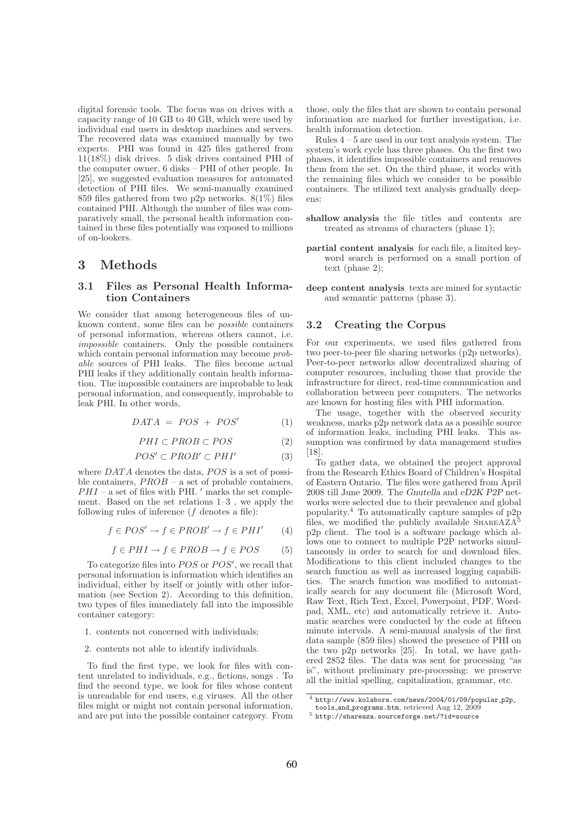digital forensic tools. The focus was on drives with a capacity range of 10 GB to 40 GB, which were used by individual end users in desktop machines and servers. The recovered data was examined manually by two experts. PHI was found in 425 files gathered from  $11(18\%)$  disk drives. 5 disk drives contained PHI of the computer owner, 6 disks – PHI of other people. In [25], we suggested evaluation measures for automated detection of PHI files. We semi-manually examined 859 files gathered from two p2p networks. 8(1%) files contained PHI. Although the number of files was comparatively small, the personal health information contained in these files potentially was exposed to millions of on-lookers.

### 3 Methods

### 3.1 Files as Personal Health Information Containers

We consider that among heterogeneous files of unknown content, some files can be possible containers of personal information, whereas others cannot, i.e. impossible containers. Only the possible containers which contain personal information may become *prob*able sources of PHI leaks. The files become actual PHI leaks if they additionally contain health information. The impossible containers are improbable to leak personal information, and consequently, improbable to leak PHI. In other words,

$$
DATA = POS + POS' \tag{1}
$$

$$
PHI \subset PROB \subset POS \tag{2}
$$

$$
POS' \subset PROB' \subset PHI' \tag{3}
$$

where  $DATA$  denotes the data,  $POS$  is a set of possible containers,  $PROB - a$  set of probable containers,  $PHI$  – a set of files with PHI.  $'$  marks the set complement. Based on the set relations 1–3 , we apply the following rules of inference  $(f$  denotes a file):

$$
f \in POS' \to f \in PROB' \to f \in PHI' \qquad (4)
$$

$$
f \in PHI \to f \in PROB \to f \in POS \tag{5}
$$

To categorize files into  $POS$  or  $POS'$ , we recall that personal information is information which identifies an individual, either by itself or jointly with other information (see Section 2). According to this definition, two types of files immediately fall into the impossible container category:

- 1. contents not concerned with individuals;
- 2. contents not able to identify individuals.

To find the first type, we look for files with content unrelated to individuals, e.g., fictions, songs . To find the second type, we look for files whose content is unreadable for end users, e.g viruses. All the other files might or might not contain personal information, and are put into the possible container category. From

those, only the files that are shown to contain personal information are marked for further investigation, i.e. health information detection.

Rules 4 – 5 are used in our text analysis system. The system's work cycle has three phases. On the first two phases, it identifies impossible containers and removes them from the set. On the third phase, it works with the remaining files which we consider to be possible containers. The utilized text analysis gradually deepens:

- shallow analysis the file titles and contents are treated as streams of characters (phase 1);
- partial content analysis for each file, a limited keyword search is performed on a small portion of text (phase 2);
- deep content analysis texts are mined for syntactic and semantic patterns (phase 3).

#### 3.2 Creating the Corpus

For our experiments, we used files gathered from two peer-to-peer file sharing networks (p2p networks). Peer-to-peer networks allow decentralized sharing of computer resources, including those that provide the infrastructure for direct, real-time communication and collaboration between peer computers. The networks are known for hosting files with PHI information.

The usage, together with the observed security weakness, marks p2p network data as a possible source of information leaks, including PHI leaks. This assumption was confirmed by data management studies [18].

To gather data, we obtained the project approval from the Research Ethics Board of Children's Hospital of Eastern Ontario. The files were gathered from April 2008 till June 2009. The Gnutella and eD2K P2P networks were selected due to their prevalence and global popularity.<sup>4</sup> To automatically capture samples of p2p files, we modified the publicly available  $\text{S}_{\text{HAREAZA}}$ <sup>5</sup> p2p client. The tool is a software package which allows one to connect to multiple P2P networks simultaneously in order to search for and download files. Modifications to this client included changes to the search function as well as increased logging capabilities. The search function was modified to automatically search for any document file (Microsoft Word, Raw Text, Rich Text, Excel, Powerpoint, PDF, Wordpad, XML, etc) and automatically retrieve it. Automatic searches were conducted by the code at fifteen minute intervals. A semi-manual analysis of the first data sample (859 files) showed the presence of PHI on the two p2p networks [25]. In total, we have gathered 2852 files. The data was sent for processing "as is", without preliminary pre-processing: we preserve all the initial spelling, capitalization, grammar, etc.

 $4$  http://www.kolabora.com/news/2004/01/09/popular\_p2p\_ tools and programs.htm, retrieved Aug 12, 2009

<sup>5</sup> http://shareaza.sourceforge.net/?id=source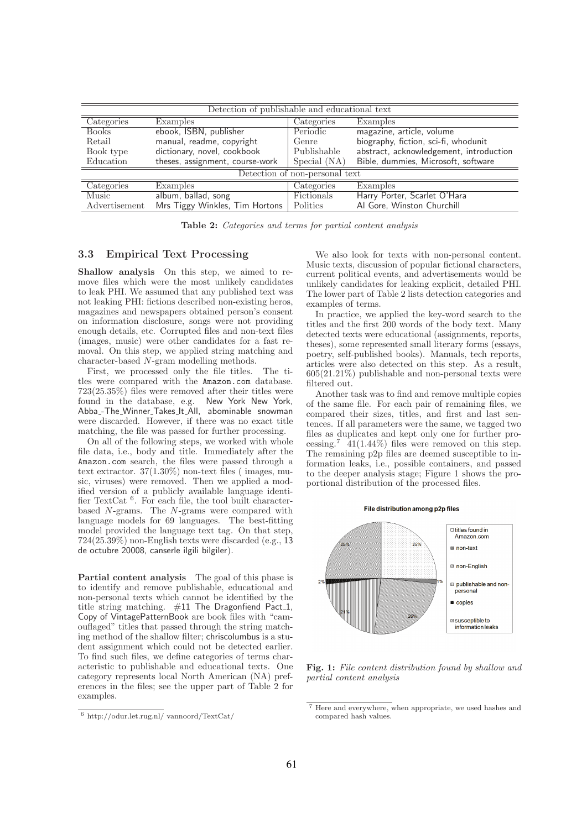| Detection of publishable and educational text |                                 |                 |                                         |  |  |  |  |  |
|-----------------------------------------------|---------------------------------|-----------------|-----------------------------------------|--|--|--|--|--|
| Categories                                    | Examples                        | Categories      | Examples                                |  |  |  |  |  |
| <b>Books</b>                                  | ebook, ISBN, publisher          | Periodic        | magazine, article, volume               |  |  |  |  |  |
| Retail                                        | manual, readme, copyright       | Genre           | biography, fiction, sci-fi, whodunit    |  |  |  |  |  |
| Book type                                     | dictionary, novel, cookbook     | Publishable     | abstract, acknowledgement, introduction |  |  |  |  |  |
| Education                                     | theses, assignment, course-work | Special (NA)    | Bible, dummies, Microsoft, software     |  |  |  |  |  |
| Detection of non-personal text                |                                 |                 |                                         |  |  |  |  |  |
| Categories                                    | Examples                        | Categories      | Examples                                |  |  |  |  |  |
| Music                                         | album, ballad, song             | Fictionals      | Harry Porter, Scarlet O'Hara            |  |  |  |  |  |
| Advertisement                                 | Mrs Tiggy Winkles, Tim Hortons  | <b>Politics</b> | Al Gore, Winston Churchill              |  |  |  |  |  |

Table 2: Categories and terms for partial content analysis

### 3.3 Empirical Text Processing

Shallow analysis On this step, we aimed to remove files which were the most unlikely candidates to leak PHI. We assumed that any published text was not leaking PHI: fictions described non-existing heros, magazines and newspapers obtained person's consent on information disclosure, songs were not providing enough details, etc. Corrupted files and non-text files (images, music) were other candidates for a fast removal. On this step, we applied string matching and character-based N-gram modelling methods.

First, we processed only the file titles. The titles were compared with the Amazon.com database. 723(25.35%) files were removed after their titles were found in the database, e.g. New York New York, Abba<sub>-The-Winner-Takes-It-All, abominable snowman</sub> were discarded. However, if there was no exact title matching, the file was passed for further processing.

On all of the following steps, we worked with whole file data, i.e., body and title. Immediately after the Amazon.com search, the files were passed through a text extractor. 37(1.30%) non-text files ( images, music, viruses) were removed. Then we applied a modified version of a publicly available language identifier TextCat<sup>6</sup>. For each file, the tool built characterbased N-grams. The N-grams were compared with language models for 69 languages. The best-fitting model provided the language text tag. On that step, 724(25.39%) non-English texts were discarded (e.g., 13 de octubre 20008, canserle ilgili bilgiler).

Partial content analysis The goal of this phase is to identify and remove publishable, educational and non-personal texts which cannot be identified by the title string matching.  $#11$  The Dragonfiend Pact<sub>1</sub>, Copy of VintagePatternBook are book files with "camouflaged" titles that passed through the string matching method of the shallow filter; chriscolumbus is a student assignment which could not be detected earlier. To find such files, we define categories of terms characteristic to publishable and educational texts. One category represents local North American (NA) preferences in the files; see the upper part of Table 2 for examples.

We also look for texts with non-personal content. Music texts, discussion of popular fictional characters, current political events, and advertisements would be unlikely candidates for leaking explicit, detailed PHI. The lower part of Table 2 lists detection categories and examples of terms.

In practice, we applied the key-word search to the titles and the first 200 words of the body text. Many detected texts were educational (assignments, reports, theses), some represented small literary forms (essays, poetry, self-published books). Manuals, tech reports, articles were also detected on this step. As a result, 605(21.21%) publishable and non-personal texts were filtered out.

Another task was to find and remove multiple copies of the same file. For each pair of remaining files, we compared their sizes, titles, and first and last sentences. If all parameters were the same, we tagged two files as duplicates and kept only one for further processing.<sup>7</sup> 41(1.44%) files were removed on this step. The remaining p2p files are deemed susceptible to information leaks, i.e., possible containers, and passed to the deeper analysis stage; Figure 1 shows the proportional distribution of the processed files.



Fig. 1: File content distribution found by shallow and partial content analysis

<sup>6</sup> http://odur.let.rug.nl/ vannoord/TextCat/

<sup>7</sup> Here and everywhere, when appropriate, we used hashes and compared hash values.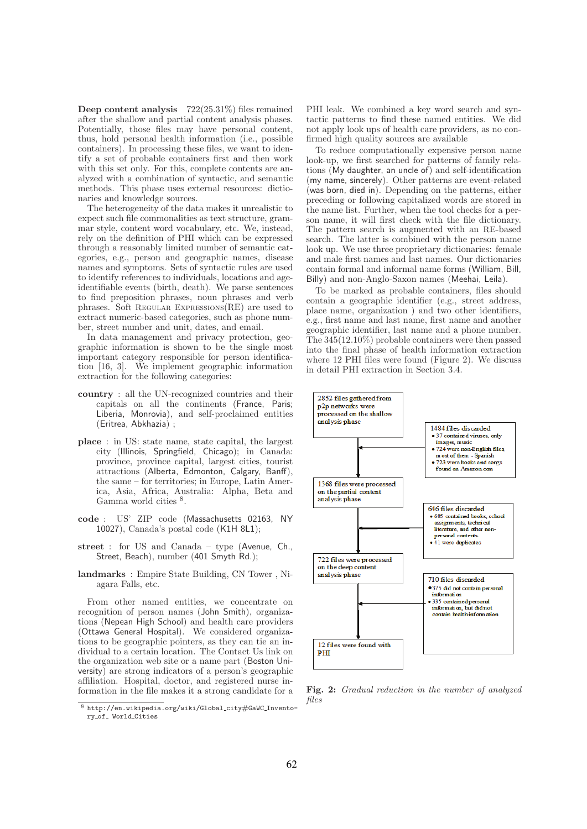Deep content analysis 722(25.31%) files remained after the shallow and partial content analysis phases. Potentially, those files may have personal content, thus, hold personal health information (i.e., possible containers). In processing these files, we want to identify a set of probable containers first and then work with this set only. For this, complete contents are analyzed with a combination of syntactic, and semantic methods. This phase uses external resources: dictionaries and knowledge sources.

The heterogeneity of the data makes it unrealistic to expect such file commonalities as text structure, grammar style, content word vocabulary, etc. We, instead, rely on the definition of PHI which can be expressed through a reasonably limited number of semantic categories, e.g., person and geographic names, disease names and symptoms. Sets of syntactic rules are used to identify references to individuals, locations and ageidentifiable events (birth, death). We parse sentences to find preposition phrases, noun phrases and verb phrases. Soft Regular Expressions(RE) are used to extract numeric-based categories, such as phone number, street number and unit, dates, and email.

In data management and privacy protection, geographic information is shown to be the single most important category responsible for person identification [16, 3]. We implement geographic information extraction for the following categories:

- country : all the UN-recognized countries and their capitals on all the continents (France, Paris; Liberia, Monrovia), and self-proclaimed entities (Eritrea, Abkhazia) ;
- place : in US: state name, state capital, the largest city (Illinois, Springfield, Chicago); in Canada: province, province capital, largest cities, tourist attractions (Alberta, Edmonton, Calgary, Banff), the same – for territories; in Europe, Latin America, Asia, Africa, Australia: Alpha, Beta and Gamma world cities  $8$ .
- code : US' ZIP code (Massachusetts 02163, NY 10027), Canada's postal code (K1H 8L1);
- street : for US and Canada type (Avenue, Ch., Street, Beach), number (401 Smyth Rd.);
- landmarks : Empire State Building, CN Tower , Niagara Falls, etc.

From other named entities, we concentrate on recognition of person names (John Smith), organizations (Nepean High School) and health care providers (Ottawa General Hospital). We considered organizations to be geographic pointers, as they can tie an individual to a certain location. The Contact Us link on the organization web site or a name part (Boston University) are strong indicators of a person's geographic affiliation. Hospital, doctor, and registered nurse information in the file makes it a strong candidate for a PHI leak. We combined a key word search and syntactic patterns to find these named entities. We did not apply look ups of health care providers, as no confirmed high quality sources are available

To reduce computationally expensive person name look-up, we first searched for patterns of family relations (My daughter, an uncle of) and self-identification (my name, sincerely). Other patterns are event-related (was born, died in). Depending on the patterns, either preceding or following capitalized words are stored in the name list. Further, when the tool checks for a person name, it will first check with the file dictionary. The pattern search is augmented with an RE-based search. The latter is combined with the person name look up. We use three proprietary dictionaries: female and male first names and last names. Our dictionaries contain formal and informal name forms (William, Bill, Billy) and non-Anglo-Saxon names (Meehai, Leila).

To be marked as probable containers, files should contain a geographic identifier (e.g., street address, place name, organization ) and two other identifiers, e.g., first name and last name, first name and another geographic identifier, last name and a phone number. The 345(12.10%) probable containers were then passed into the final phase of health information extraction where 12 PHI files were found (Figure 2). We discuss in detail PHI extraction in Section 3.4.



Fig. 2: Gradual reduction in the number of analyzed files

http://en.wikipedia.org/wiki/Global\_city#GaWC\_Inventory\_of\_ World\_Cities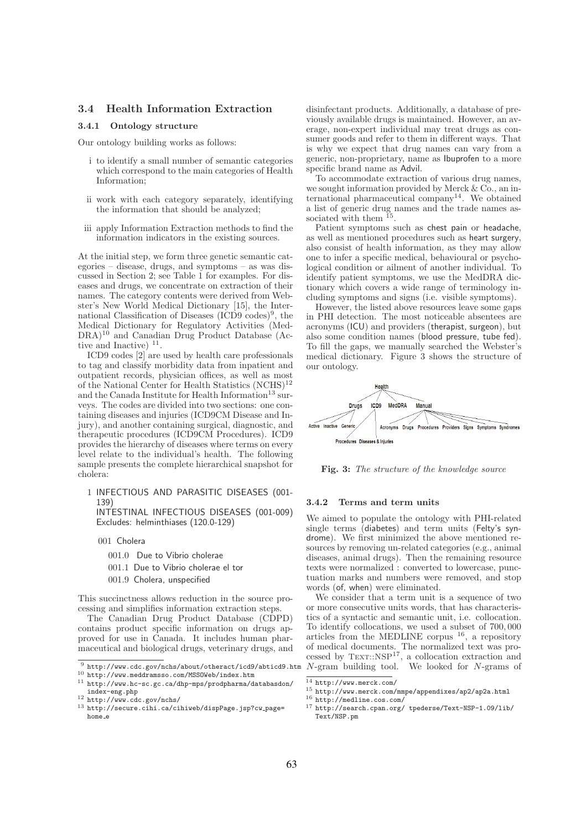### 3.4 Health Information Extraction

#### 3.4.1 Ontology structure

Our ontology building works as follows:

- i to identify a small number of semantic categories which correspond to the main categories of Health Information;
- ii work with each category separately, identifying the information that should be analyzed;
- iii apply Information Extraction methods to find the information indicators in the existing sources.

At the initial step, we form three genetic semantic categories – disease, drugs, and symptoms – as was discussed in Section 2; see Table 1 for examples. For diseases and drugs, we concentrate on extraction of their names. The category contents were derived from Webster's New World Medical Dictionary [15], the International Classification of Diseases (ICD9 codes)<sup>9</sup>, the Medical Dictionary for Regulatory Activities (Med-DRA)<sup>10</sup> and Canadian Drug Product Database (Active and Inactive)  $11$ .

ICD9 codes [2] are used by health care professionals to tag and classify morbidity data from inpatient and outpatient records, physician offices, as well as most of the National Center for Health Statistics  $({\rm NCHS})^{12}$ and the Canada Institute for Health Information<sup>13</sup> surveys. The codes are divided into two sections: one containing diseases and injuries (ICD9CM Disease and Injury), and another containing surgical, diagnostic, and therapeutic procedures (ICD9CM Procedures). ICD9 provides the hierarchy of diseases where terms on every level relate to the individual's health. The following sample presents the complete hierarchical snapshot for cholera:

1 INFECTIOUS AND PARASITIC DISEASES (001- 139)

INTESTINAL INFECTIOUS DISEASES (001-009) Excludes: helminthiases (120.0-129)

- 001 Cholera
	- 001.0 Due to Vibrio cholerae
	- 001.1 Due to Vibrio cholerae el tor
	- 001.9 Cholera, unspecified

This succinctness allows reduction in the source processing and simplifies information extraction steps.

The Canadian Drug Product Database (CDPD) contains product specific information on drugs approved for use in Canada. It includes human pharmaceutical and biological drugs, veterinary drugs, and disinfectant products. Additionally, a database of previously available drugs is maintained. However, an average, non-expert individual may treat drugs as consumer goods and refer to them in different ways. That is why we expect that drug names can vary from a generic, non-proprietary, name as Ibuprofen to a more specific brand name as Advil.

To accommodate extraction of various drug names, we sought information provided by Merck  $& \widetilde{\mathcal{C}}_{\mathcal{O}}$ , an international pharmaceutical company<sup>14</sup>. We obtained a list of generic drug names and the trade names associated with them  $^{15}$ .

Patient symptoms such as chest pain or headache, as well as mentioned procedures such as heart surgery, also consist of health information, as they may allow one to infer a specific medical, behavioural or psychological condition or ailment of another individual. To identify patient symptoms, we use the MedDRA dictionary which covers a wide range of terminology including symptoms and signs (i.e. visible symptoms).

However, the listed above resources leave some gaps in PHI detection. The most noticeable absentees are acronyms (ICU) and providers (therapist, surgeon), but also some condition names (blood pressure, tube fed). To fill the gaps, we manually searched the Webster's medical dictionary. Figure 3 shows the structure of our ontology.



Fig. 3: The structure of the knowledge source

#### 3.4.2 Terms and term units

We aimed to populate the ontology with PHI-related single terms (diabetes) and term units (Felty's syndrome). We first minimized the above mentioned resources by removing un-related categories (e.g., animal diseases, animal drugs). Then the remaining resource texts were normalized : converted to lowercase, punctuation marks and numbers were removed, and stop words (of, when) were eliminated.

We consider that a term unit is a sequence of two or more consecutive units words, that has characteristics of a syntactic and semantic unit, i.e. collocation. To identify collocations, we used a subset of 700, 000 articles from the MEDLINE corpus  $16$ , a repository of medical documents. The normalized text was processed by  $T\text{EXT}::NSP^{17}$ , a collocation extraction and N-gram building tool. We looked for N-grams of

<sup>9</sup> http://www.cdc.gov/nchs/about/otheract/icd9/abticd9.htm <sup>10</sup> http://www.meddramsso.com/MSSOWeb/index.htm

 $^{11}$ http://www.hc-sc.gc.ca/dhp-mps/prodpharma/databasdon/

index-eng.php

<sup>12</sup> http://www.cdc.gov/nchs/

<sup>13</sup> http://secure.cihi.ca/cihiweb/dispPage.jsp?cw page= home e

 $14$  http://www.merck.com/

<sup>15</sup> http://www.merck.com/mmpe/appendixes/ap2/ap2a.html

<sup>16</sup> http://medline.cos.com/

<sup>17</sup> http://search.cpan.org/ tpederse/Text-NSP-1.09/lib/ Text/NSP.pm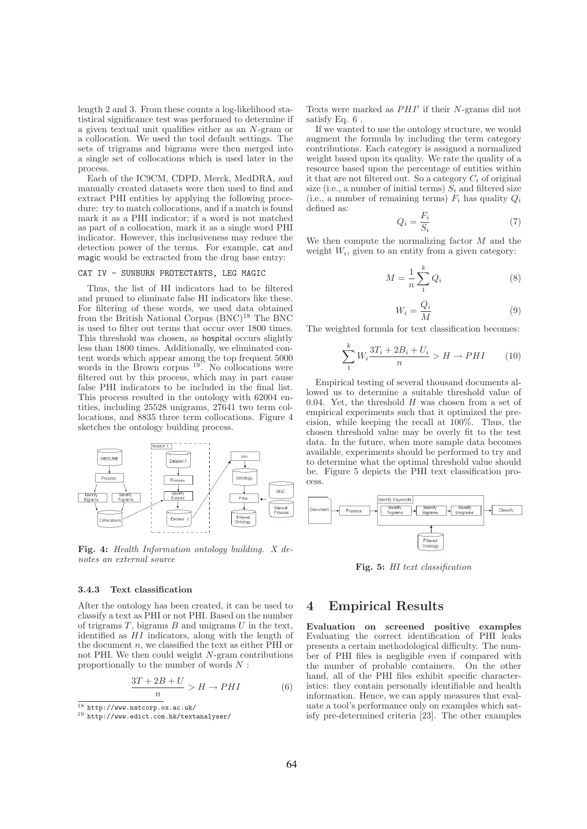length 2 and 3. From these counts a log-likelihood statistical significance test was performed to determine if a given textual unit qualifies either as an N-gram or a collocation. We used the tool default settings. The sets of trigrams and bigrams were then merged into a single set of collocations which is used later in the process.

Each of the IC9CM, CDPD, Merck, MedDRA, and manually created datasets were then used to find and extract PHI entities by applying the following procedure: try to match collocations, and if a match is found mark it as a PHI indicator; if a word is not matched as part of a collocation, mark it as a single word PHI indicator. However, this inclusiveness may reduce the detection power of the terms. For example, cat and magic would be extracted from the drug base entry:

#### CAT IV - SUNBURN PROTECTANTS, LEG MAGIC

Thus, the list of HI indicators had to be filtered and pruned to eliminate false HI indicators like these. For filtering of these words, we used data obtained from the British National Corpus (BNC)<sup>18</sup> The BNC is used to filter out terms that occur over 1800 times. This threshold was chosen, as hospital occurs slightly less than 1800 times. Additionally, we eliminated content words which appear among the top frequent 5000 words in the Brown corpus  $19$ . No collocations were filtered out by this process, which may in part cause false PHI indicators to be included in the final list. This process resulted in the ontology with 62004 entities, including 25528 unigrams, 27641 two term collocations, and 8835 three term collocations. Figure 4 sketches the ontology building process.



Fig. 4: Health Information ontology building. X denotes an external source

#### 3.4.3 Text classification

After the ontology has been created, it can be used to classify a text as PHI or not PHI. Based on the number of trigrams  $T$ , bigrams  $B$  and unigrams  $U$  in the text, identified as  $HI$  indicators, along with the length of the document  $n$ , we classified the text as either PHI or not PHI. We then could weight N-gram contributions proportionally to the number of words N :

$$
\frac{3T + 2B + U}{n} > H \to PHI \tag{6}
$$

Texts were marked as PHI′ if their N-grams did not satisfy Eq. 6 .

If we wanted to use the ontology structure, we would augment the formula by including the term category contributions. Each category is assigned a normalized weight based upon its quality. We rate the quality of a resource based upon the percentage of entities within it that are not filtered out. So a category  $C_i$  of original size (i.e., a number of initial terms)  $S_i$  and filtered size (i.e., a number of remaining terms)  $F_i$  has quality  $Q_i$ defined as:

$$
Q_i = \frac{F_i}{S_i} \tag{7}
$$

We then compute the normalizing factor  $M$  and the weight  $W_i$ , given to an entity from a given category:

$$
M = \frac{1}{n} \sum_{1}^{k} Q_i \tag{8}
$$

$$
W_i = \frac{Q_i}{M} \tag{9}
$$

The weighted formula for text classification becomes:

$$
\sum_{1}^{k} W_i \frac{3T_i + 2B_i + U_i}{n} > H \to PHI \tag{10}
$$

Empirical testing of several thousand documents allowed us to determine a suitable threshold value of 0.04. Yet, the threshold  $H$  was chosen from a set of empirical experiments such that it optimized the precision, while keeping the recall at 100%. Thus, the chosen threshold value may be overly fit to the test data. In the future, when more sample data becomes available, experiments should be performed to try and to determine what the optimal threshold value should be. Figure 5 depicts the PHI text classification process.



Fig. 5: HI text classification

## 4 Empirical Results

Evaluation on screened positive examples Evaluating the correct identification of PHI leaks presents a certain methodological difficulty. The number of PHI files is negligible even if compared with the number of probable containers. On the other hand, all of the PHI files exhibit specific characteristics: they contain personally identifiable and health information. Hence, we can apply measures that evaluate a tool's performance only on examples which satisfy pre-determined criteria [23]. The other examples

 $18$  http://www.natcorp.ox.ac.uk/

<sup>19</sup> http://www.edict.com.hk/textanalyser/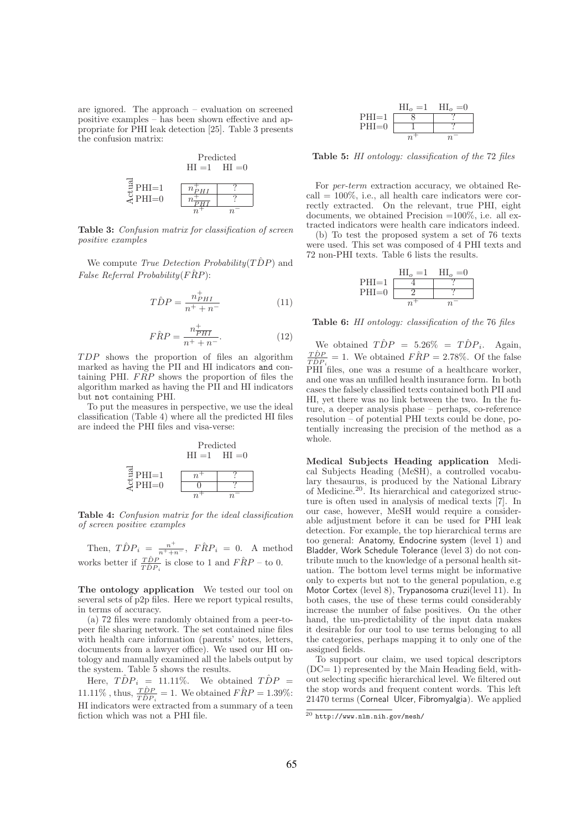are ignored. The approach – evaluation on screened positive examples – has been shown effective and appropriate for PHI leak detection [25]. Table 3 presents the confusion matrix:



Table 3: Confusion matrix for classification of screen positive examples

We compute *True Detection Probability*( $T\hat{D}P$ ) and False Referral Probability( $\widehat{FRP}$ ):

$$
T\hat{D}P = \frac{n_{PHI}^+}{n^+ + n^-}
$$
\n<sup>(11)</sup>

$$
\widehat{FRP} = \frac{n_{\overline{PHI}}^+}{n^+ + n^-}.\tag{12}
$$

T DP shows the proportion of files an algorithm marked as having the PII and HI indicators and containing PHI.  $FRP$  shows the proportion of files the algorithm marked as having the PII and HI indicators but not containing PHI.

To put the measures in perspective, we use the ideal classification (Table 4) where all the predicted HI files are indeed the PHI files and visa-verse:

Predicted  
\n
$$
HI = 1 \quad HI = 0
$$
\n
$$
\begin{array}{c}\n\text{Predicted} \\
\text{H I} = 1 \quad HI = 0 \\
\hline\n\text{C} \quad \text{PHI} = 0\n\end{array}
$$
\n
$$
\begin{array}{c}\n\text{Predicted} \\
\text{H I} = 1 \quad HI = 0 \\
\hline\n\text{C} \quad \text{P} \quad \text{H} = 0\n\end{array}
$$

Table 4: Confusion matrix for the ideal classification of screen positive examples

Then,  $\hat{TDP}_i = \frac{n^+}{n^+ + n^-}$ ,  $\hat{FRP}_i = 0$ . A method works better if  $\frac{T\hat{D}P}{T\hat{D}P_i}$  is close to 1 and  $F\hat{R}P$  – to 0.

The ontology application We tested our tool on several sets of p2p files. Here we report typical results, in terms of accuracy.

(a) 72 files were randomly obtained from a peer-topeer file sharing network. The set contained nine files with health care information (parents' notes, letters, documents from a lawyer office). We used our HI ontology and manually examined all the labels output by the system. Table 5 shows the results.

Here,  $T\hat{D}P_i = 11.11\%$ . We obtained  $T\hat{D}P =$ 11.11%, thus,  $\frac{T\hat{D}P}{T\hat{D}P_i} = 1$ . We obtained  $\hat{F}RP = 1.39\%$ :  $H1$  indicators were extracted from a summary of a teen fiction which was not a PHI file.



Table 5: HI ontology: classification of the 72 files

For per-term extraction accuracy, we obtained Recall  $= 100\%$ , i.e., all health care indicators were correctly extracted. On the relevant, true PHI, eight documents, we obtained Precision  $=100\%$ , i.e. all extracted indicators were health care indicators indeed.

(b) To test the proposed system a set of 76 texts were used. This set was composed of 4 PHI texts and 72 non-PHI texts. Table 6 lists the results.

|         | $\rm HI$ <sub>o</sub> = 1 | $\text{H}_{\alpha}=0$ |
|---------|---------------------------|-----------------------|
| $PHI=1$ |                           |                       |
| $PHI=0$ |                           |                       |
|         |                           |                       |

Table 6: HI ontology: classification of the 76 files

We obtained  $T\hat{D}P = 5.26\% = T\hat{D}P_i$ . Again, We obtained  $IDF = 3.20\% = IDF_i$ <br>  $T\hat{D}P = 1$  We obtained  $F\hat{R}P = 2.78\%$  O  $\frac{T\hat{D}P}{T\hat{D}P_i} = 1$ . We obtained  $\hat{F}RP = 2.78\%$ . Of the false PHI files, one was a resume of a healthcare worker, and one was an unfilled health insurance form. In both cases the falsely classified texts contained both PII and HI, yet there was no link between the two. In the future, a deeper analysis phase – perhaps, co-reference resolution – of potential PHI texts could be done, potentially increasing the precision of the method as a whole.

Medical Subjects Heading application Medical Subjects Heading (MeSH), a controlled vocabulary thesaurus, is produced by the National Library of Medicine.<sup>20</sup>. Its hierarchical and categorized structure is often used in analysis of medical texts [7]. In our case, however, MeSH would require a considerable adjustment before it can be used for PHI leak detection. For example, the top hierarchical terms are too general: Anatomy, Endocrine system (level 1) and Bladder, Work Schedule Tolerance (level 3) do not contribute much to the knowledge of a personal health situation. The bottom level terms might be informative only to experts but not to the general population, e.g Motor Cortex (level 8), Trypanosoma cruzi(level 11). In both cases, the use of these terms could considerably increase the number of false positives. On the other hand, the un-predictability of the input data makes it desirable for our tool to use terms belonging to all the categories, perhaps mapping it to only one of the assigned fields.

To support our claim, we used topical descriptors  $(DC=1)$  represented by the Main Heading field, without selecting specific hierarchical level. We filtered out the stop words and frequent content words. This left 21470 terms (Corneal Ulcer, Fibromyalgia). We applied

<sup>20</sup> http://www.nlm.nih.gov/mesh/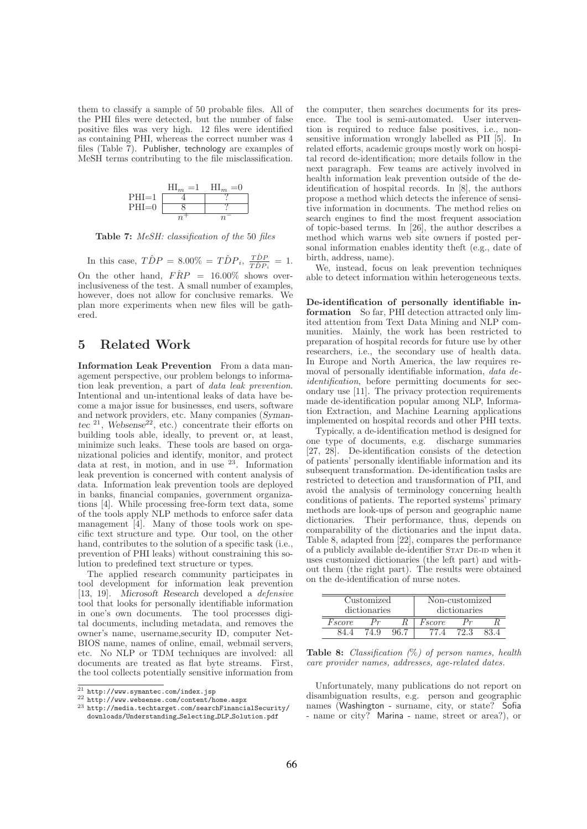them to classify a sample of 50 probable files. All of the PHI files were detected, but the number of false positive files was very high. 12 files were identified as containing PHI, whereas the correct number was 4 files (Table 7). Publisher, technology are examples of MeSH terms contributing to the file misclassification.



Table 7: MeSH: classification of the 50 files

In this case,  $\hat{TDP} = 8.00\% = \hat{TDP}_i, \frac{\hat{TDP}}{\hat{TDP}}$  $\frac{TDP}{T\hat{D}P_i} = 1.$ On the other hand,  $F\hat{R}P = 16.00\%$  shows overinclusiveness of the test. A small number of examples, however, does not allow for conclusive remarks. We plan more experiments when new files will be gathered.

## 5 Related Work

Information Leak Prevention From a data management perspective, our problem belongs to information leak prevention, a part of data leak prevention. Intentional and un-intentional leaks of data have become a major issue for businesses, end users, software and network providers, etc. Many companies (Symantec  $21$ , Websense  $22$ , etc.) concentrate their efforts on building tools able, ideally, to prevent or, at least, minimize such leaks. These tools are based on organizational policies and identify, monitor, and protect data at rest, in motion, and in use <sup>23</sup>. Information leak prevention is concerned with content analysis of data. Information leak prevention tools are deployed in banks, financial companies, government organizations [4]. While processing free-form text data, some of the tools apply NLP methods to enforce safer data management [4]. Many of those tools work on specific text structure and type. Our tool, on the other hand, contributes to the solution of a specific task (i.e., prevention of PHI leaks) without constraining this solution to predefined text structure or types.

The applied research community participates in tool development for information leak prevention [13, 19]. Microsoft Research developed a defensive tool that looks for personally identifiable information in one's own documents. The tool processes digital documents, including metadata, and removes the owner's name, username,security ID, computer Net-BIOS name, names of online, email, webmail servers, etc. No NLP or TDM techniques are involved: all documents are treated as flat byte streams. First, the tool collects potentially sensitive information from the computer, then searches documents for its presence. The tool is semi-automated. User intervention is required to reduce false positives, i.e., nonsensitive information wrongly labelled as PII [5]. In related efforts, academic groups mostly work on hospital record de-identification; more details follow in the next paragraph. Few teams are actively involved in health information leak prevention outside of the deidentification of hospital records. In [8], the authors propose a method which detects the inference of sensitive information in documents. The method relies on search engines to find the most frequent association of topic-based terms. In [26], the author describes a method which warns web site owners if posted personal information enables identity theft (e.g., date of birth, address, name).

We, instead, focus on leak prevention techniques able to detect information within heterogeneous texts.

De-identification of personally identifiable information So far, PHI detection attracted only limited attention from Text Data Mining and NLP communities. Mainly, the work has been restricted to preparation of hospital records for future use by other researchers, i.e., the secondary use of health data. In Europe and North America, the law requires removal of personally identifiable information, data deidentification, before permitting documents for secondary use [11]. The privacy protection requirements made de-identification popular among NLP, Information Extraction, and Machine Learning applications implemented on hospital records and other PHI texts.

Typically, a de-identification method is designed for one type of documents, e.g. discharge summaries [27, 28]. De-identification consists of the detection of patients' personally identifiable information and its subsequent transformation. De-identification tasks are restricted to detection and transformation of PII, and avoid the analysis of terminology concerning health conditions of patients. The reported systems' primary methods are look-ups of person and geographic name dictionaries. Their performance, thus, depends on comparability of the dictionaries and the input data. Table 8, adapted from [22], compares the performance of a publicly available de-identifier Stat De-id when it uses customized dictionaries (the left part) and without them (the right part). The results were obtained on the de-identification of nurse notes.

| Customized<br>dictionaries |  | Non-customized<br>dictionaries |        |     |  |
|----------------------------|--|--------------------------------|--------|-----|--|
| Fscore                     |  |                                | Fscore |     |  |
|                            |  |                                |        | 723 |  |

**Table 8:** Classification  $(\%)$  of person names, health care provider names, addresses, age-related dates.

Unfortunately, many publications do not report on disambiguation results, e.g. person and geographic names (Washington - surname, city, or state? Sofia - name or city? Marina - name, street or area?), or

<sup>21</sup> http://www.symantec.com/index.jsp

<sup>22</sup> http://www.websense.com/content/home.aspx

<sup>23</sup> http://media.techtarget.com/searchFinancialSecurity/ downloads/Understanding Selecting DLP Solution.pdf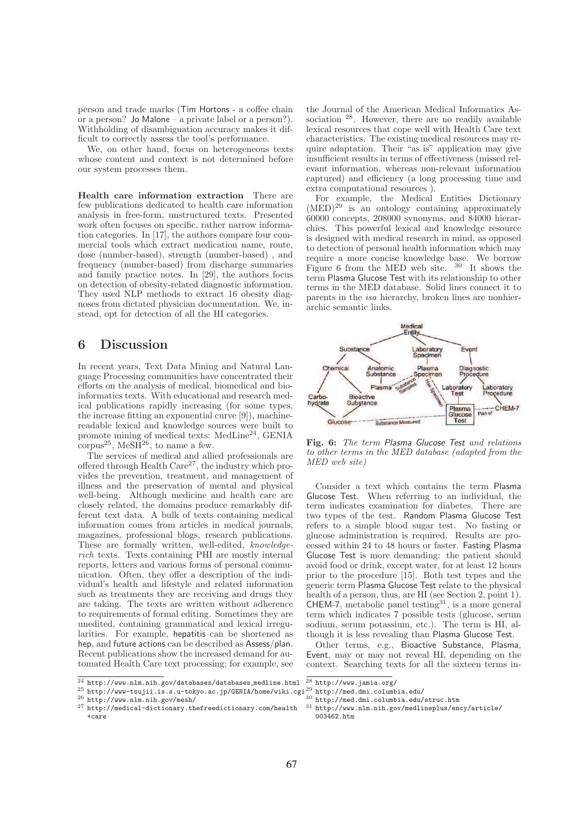person and trade marks (Tim Hortons - a coffee chain or a person? Jo Malone – a private label or a person?). Withholding of disambiguation accuracy makes it difficult to correctly assess the tool's performance.

We, on other hand, focus on heterogeneous texts whose content and context is not determined before our system processes them.

Health care information extraction There are few publications dedicated to health care information analysis in free-form, unstructured texts. Presented work often focuses on specific, rather narrow information categories. In [17], the authors compare four commercial tools which extract medication name, route, dose (number-based), strength (number-based) , and frequency (number-based) from discharge summaries and family practice notes. In [29], the authors focus on detection of obesity-related diagnostic information. They used NLP methods to extract 16 obesity diagnoses from dictated physician documentation. We, instead, opt for detection of all the HI categories.

## 6 Discussion

In recent years, Text Data Mining and Natural Language Processing communities have concentrated their efforts on the analysis of medical, biomedical and bioinformatics texts. With educational and research medical publications rapidly increasing (for some types, the increase fitting an exponential curve [9]), machinereadable lexical and knowledge sources were built to promote mining of medical texts: MedLine<sup>24</sup>, GENIA corpus<sup>25</sup>, MeS $\overline{H}^{26}$ , to name a few.

The services of medical and allied professionals are offered through Health  $Care^{27}$ , the industry which provides the prevention, treatment, and management of illness and the preservation of mental and physical well-being. Although medicine and health care are closely related, the domains produce remarkably different text data. A bulk of texts containing medical information comes from articles in medical journals, magazines, professional blogs, research publications. These are formally written, well-edited, knowledgerich texts. Texts containing PHI are mostly internal reports, letters and various forms of personal communication. Often, they offer a description of the individual's health and lifestyle and related information such as treatments they are receiving and drugs they are taking. The texts are written without adherence to requirements of formal editing. Sometimes they are unedited, containing grammatical and lexical irregularities. For example, hepatitis can be shortened as hep, and future actions can be described as Assess/plan. Recent publications show the increased demand for automated Health Care text processing; for example, see

 $\frac{1}{24}$  http://www.nlm.nih.gov/databases/databases\_medline.html

the Journal of the American Medical Informatics Association <sup>28</sup>. However, there are no readily available lexical resources that cope well with Health Care text characteristics. The existing medical resources may require adaptation. Their "as is" application may give insufficient results in terms of effectiveness (missed relevant information, whereas non-relevant information captured) and efficiency (a long processing time and extra computational resources ).

For example, the Medical Entities Dictionary  $(MED)^{29}$  is an ontology containing approximately 60000 concepts, 208000 synonyms, and 84000 hierarchies. This powerful lexical and knowledge resource is designed with medical research in mind, as opposed to detection of personal health information which may require a more concise knowledge base. We borrow Figure 6 from the MED web site. <sup>30</sup> It shows the term Plasma Glucose Test with its relationship to other terms in the MED database. Solid lines connect it to parents in the isa hierarchy, broken lines are nonhierarchic semantic links.



Fig. 6: The term Plasma Glucose Test and relations to other terms in the MED database (adapted from the MED web site)

Consider a text which contains the term Plasma Glucose Test. When referring to an individual, the term indicates examination for diabetes. There are two types of the test. Random Plasma Glucose Test refers to a simple blood sugar test. No fasting or glucose administration is required. Results are processed within 24 to 48 hours or faster. Fasting Plasma Glucose Test is more demanding: the patient should avoid food or drink, except water, for at least 12 hours prior to the procedure [15]. Both test types and the generic term Plasma Glucose Test relate to the physical health of a person, thus, are HI (see Section 2, point 1).  $CHEM-7$ , metabolic panel testing<sup>31</sup>, is a more general term which indicates 7 possible tests (glucose, serum sodium, serum potassium, etc.). The term is HI, although it is less revealing than Plasma Glucose Test.

Other terms, e.g., Bioactive Substance, Plasma, Event, may or may not reveal HI, depending on the context. Searching texts for all the sixteen terms in-

- 
- <sup>30</sup> http://med.dmi.columbia.edu/struc.htm
- <sup>31</sup> http://www.nlm.nih.gov/medlineplus/ency/article/ 003462.htm

 $^{25}$  http://www-tsujii.is.s.u-tokyo.ac.jp/GENIA/home/wiki.cgi $^{29}$  http://med.dmi.columbia.edu/

<sup>26</sup> http://www.nlm.nih.gov/mesh/

<sup>27</sup> http://medical-dictionary.thefreedictionary.com/health +care

 $28$  http://www.jamia.org/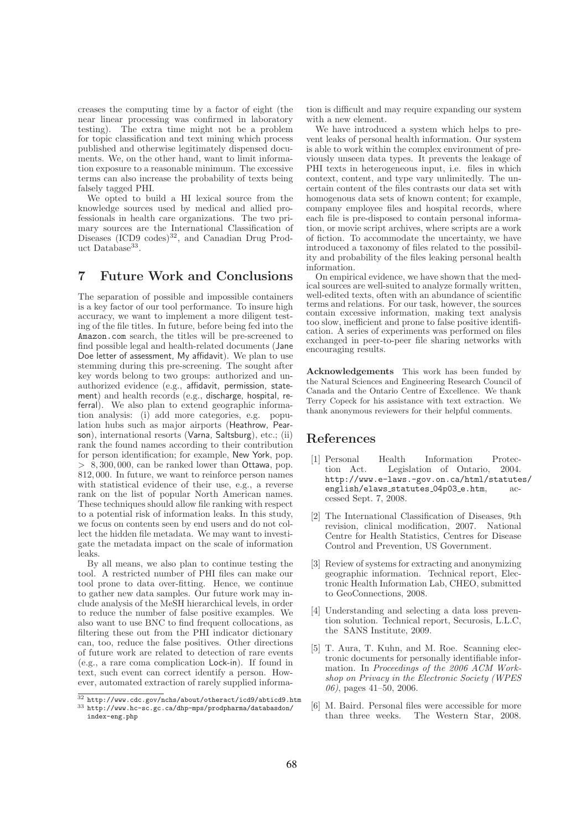creases the computing time by a factor of eight (the near linear processing was confirmed in laboratory testing). The extra time might not be a problem for topic classification and text mining which process published and otherwise legitimately dispensed documents. We, on the other hand, want to limit information exposure to a reasonable minimum. The excessive terms can also increase the probability of texts being falsely tagged PHI.

We opted to build a HI lexical source from the knowledge sources used by medical and allied professionals in health care organizations. The two primary sources are the International Classification of Diseases (ICD9 codes)<sup>32</sup>, and Canadian Drug Product Database<sup>33</sup>.

# 7 Future Work and Conclusions

The separation of possible and impossible containers is a key factor of our tool performance. To insure high accuracy, we want to implement a more diligent testing of the file titles. In future, before being fed into the Amazon.com search, the titles will be pre-screened to find possible legal and health-related documents (Jane Doe letter of assessment, My affidavit). We plan to use stemming during this pre-screening. The sought after key words belong to two groups: authorized and unauthorized evidence (e.g., affidavit, permission, statement) and health records (e.g., discharge, hospital, referral). We also plan to extend geographic information analysis: (i) add more categories, e.g. population hubs such as major airports (Heathrow, Pearson), international resorts (Varna, Saltsburg), etc.; (ii) rank the found names according to their contribution for person identification; for example, New York, pop. > 8, 300, 000, can be ranked lower than Ottawa, pop. 812, 000. In future, we want to reinforce person names with statistical evidence of their use, e.g., a reverse rank on the list of popular North American names. These techniques should allow file ranking with respect to a potential risk of information leaks. In this study, we focus on contents seen by end users and do not collect the hidden file metadata. We may want to investigate the metadata impact on the scale of information leaks.

By all means, we also plan to continue testing the tool. A restricted number of PHI files can make our tool prone to data over-fitting. Hence, we continue to gather new data samples. Our future work may include analysis of the MeSH hierarchical levels, in order to reduce the number of false positive examples. We also want to use BNC to find frequent collocations, as filtering these out from the PHI indicator dictionary can, too, reduce the false positives. Other directions of future work are related to detection of rare events (e.g., a rare coma complication Lock-in). If found in text, such event can correct identify a person. However, automated extraction of rarely supplied information is difficult and may require expanding our system with a new element.

We have introduced a system which helps to prevent leaks of personal health information. Our system is able to work within the complex environment of previously unseen data types. It prevents the leakage of PHI texts in heterogeneous input, i.e. files in which context, content, and type vary unlimitedly. The uncertain content of the files contrasts our data set with homogenous data sets of known content; for example, company employee files and hospital records, where each file is pre-disposed to contain personal information, or movie script archives, where scripts are a work of fiction. To accommodate the uncertainty, we have introduced a taxonomy of files related to the possibility and probability of the files leaking personal health information.

On empirical evidence, we have shown that the medical sources are well-suited to analyze formally written, well-edited texts, often with an abundance of scientific terms and relations. For our task, however, the sources contain excessive information, making text analysis too slow, inefficient and prone to false positive identification. A series of experiments was performed on files exchanged in peer-to-peer file sharing networks with encouraging results.

Acknowledgements This work has been funded by the Natural Sciences and Engineering Research Council of Canada and the Ontario Centre of Excellence. We thank Terry Copeck for his assistance with text extraction. We thank anonymous reviewers for their helpful comments.

## References

- [1] Personal Health Information Protection Act. Legislation of Ontario, 2004. http://www.e-laws.-gov.on.ca/html/statutes/ english/elaws\_statutes\_04p03\_e.htm, cessed Sept. 7, 2008.
- [2] The International Classification of Diseases, 9th revision, clinical modification, 2007. National Centre for Health Statistics, Centres for Disease Control and Prevention, US Government.
- [3] Review of systems for extracting and anonymizing geographic information. Technical report, Electronic Health Information Lab, CHEO, submitted to GeoConnections, 2008.
- [4] Understanding and selecting a data loss prevention solution. Technical report, Securosis, L.L.C, the SANS Institute, 2009.
- [5] T. Aura, T. Kuhn, and M. Roe. Scanning electronic documents for personally identifiable information. In Proceedings of the 2006 ACM Workshop on Privacy in the Electronic Society (WPES 06), pages 41–50, 2006.
- [6] M. Baird. Personal files were accessible for more The Western Star, 2008.

 $32$  http://www.cdc.gov/nchs/about/otheract/icd9/abticd9.htm  $^{33}$ http://www.hc-sc.gc.ca/dhp-mps/prodpharma/databasdon/ index-eng.php